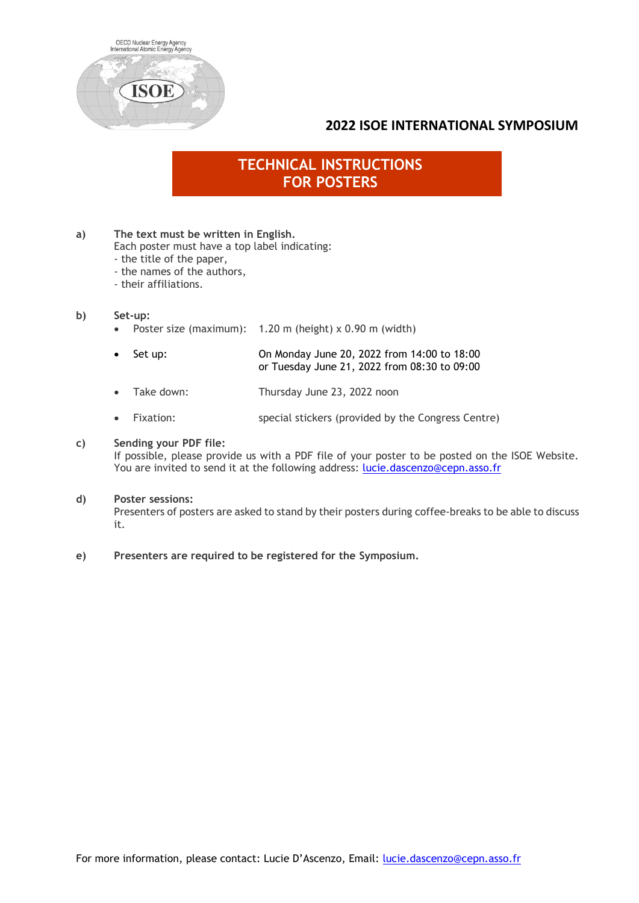

### **2022 ISOE INTERNATIONAL SYMPOSIUM**

# **TECHNICAL INSTRUCTIONS FOR POSTERS**

#### **a) The text must be written in English.**

Each poster must have a top label indicating:

- the title of the paper,
- the names of the authors,
- their affiliations.

#### **b) Set-up:**

- Poster size (maximum): 1.20 m (height) x 0.90 m (width)
- Set up: On Monday June 20, 2022 from 14:00 to 18:00 or Tuesday June 21, 2022 from 08:30 to 09:00
- Take down: Thursday June 23, 2022 noon
- Fixation: special stickers (provided by the Congress Centre)

#### **c) Sending your PDF file:**

If possible, please provide us with a PDF file of your poster to be posted on the ISOE Website. You are invited to send it at the following address: [lucie.dascenzo@cepn.asso.fr](mailto:lucie.dascenzo@cepn.asso.fr)

#### **d) Poster sessions:**

Presenters of posters are asked to stand by their posters during coffee-breaks to be able to discuss it.

#### **e) Presenters are required to be registered for the Symposium.**